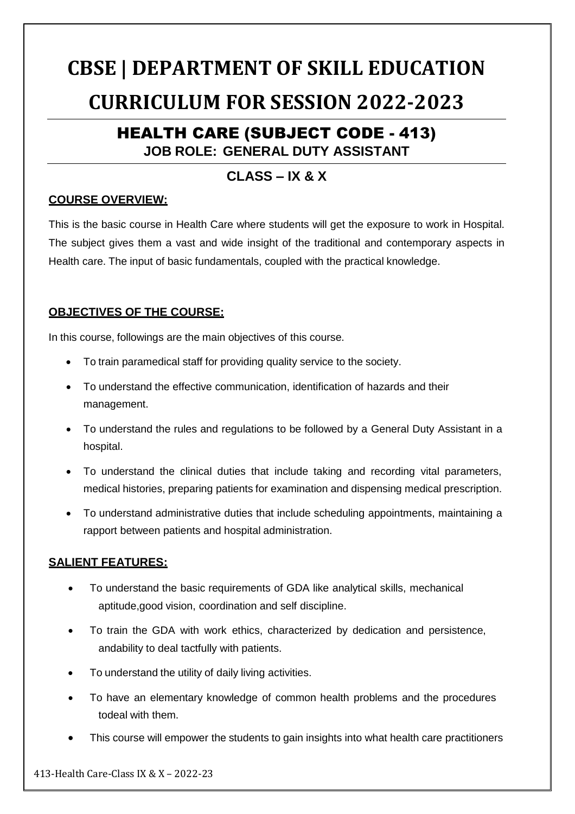# **CBSE | DEPARTMENT OF SKILL EDUCATION CURRICULUM FOR SESSION 2022-2023**

# HEALTH CARE (SUBJECT CODE - 413) **JOB ROLE: GENERAL DUTY ASSISTANT**

# **CLASS – IX & X**

## **COURSE OVERVIEW:**

This is the basic course in Health Care where students will get the exposure to work in Hospital. The subject gives them a vast and wide insight of the traditional and contemporary aspects in Health care. The input of basic fundamentals, coupled with the practical knowledge.

# **OBJECTIVES OF THE COURSE:**

In this course, followings are the main objectives of this course.

- To train paramedical staff for providing quality service to the society.
- To understand the effective communication, identification of hazards and their management.
- To understand the rules and regulations to be followed by a General Duty Assistant in a hospital.
- To understand the clinical duties that include taking and recording vital parameters, medical histories, preparing patients for examination and dispensing medical prescription.
- To understand administrative duties that include scheduling appointments, maintaining a rapport between patients and hospital administration.

# **SALIENT FEATURES:**

- To understand the basic requirements of GDA like analytical skills, mechanical aptitude,good vision, coordination and self discipline.
- To train the GDA with work ethics, characterized by dedication and persistence, andability to deal tactfully with patients.
- To understand the utility of daily living activities.
- To have an elementary knowledge of common health problems and the procedures todeal with them.
- This course will empower the students to gain insights into what health care practitioners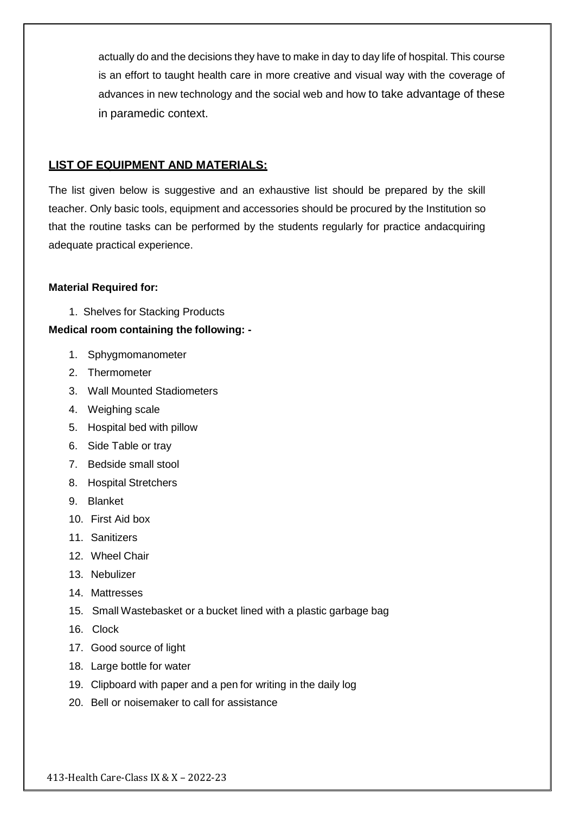actually do and the decisions they have to make in day to day life of hospital. This course is an effort to taught health care in more creative and visual way with the coverage of advances in new technology and the social web and how to take advantage of these in paramedic context.

#### **LIST OF EQUIPMENT AND MATERIALS:**

The list given below is suggestive and an exhaustive list should be prepared by the skill teacher. Only basic tools, equipment and accessories should be procured by the Institution so that the routine tasks can be performed by the students regularly for practice andacquiring adequate practical experience.

#### **Material Required for:**

1. Shelves for Stacking Products

#### **Medical room containing the following: -**

- 1. Sphygmomanometer
- 2. Thermometer
- 3. Wall Mounted Stadiometers
- 4. Weighing scale
- 5. Hospital bed with pillow
- 6. Side Table or tray
- 7. Bedside small stool
- 8. Hospital Stretchers
- 9. Blanket
- 10. First Aid box
- 11. Sanitizers
- 12. Wheel Chair
- 13. Nebulizer
- 14. Mattresses
- 15. Small Wastebasket or a bucket lined with a plastic garbage bag
- 16. Clock
- 17. Good source of light
- 18. Large bottle for water
- 19. Clipboard with paper and a pen for writing in the daily log
- 20. Bell or noisemaker to call for assistance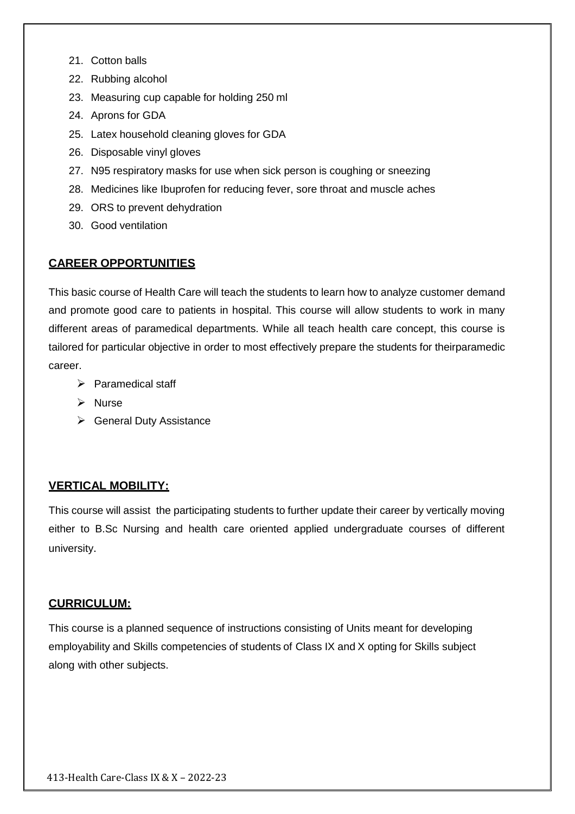- 21. Cotton balls
- 22. Rubbing alcohol
- 23. Measuring cup capable for holding 250 ml
- 24. Aprons for GDA
- 25. Latex household cleaning gloves for GDA
- 26. Disposable vinyl gloves
- 27. N95 respiratory masks for use when sick person is coughing or sneezing
- 28. Medicines like Ibuprofen for reducing fever, sore throat and muscle aches
- 29. ORS to prevent dehydration
- 30. Good ventilation

#### **CAREER OPPORTUNITIES**

This basic course of Health Care will teach the students to learn how to analyze customer demand and promote good care to patients in hospital. This course will allow students to work in many different areas of paramedical departments. While all teach health care concept, this course is tailored for particular objective in order to most effectively prepare the students for theirparamedic career.

- $\triangleright$  Paramedical staff
- $\triangleright$  Nurse
- $\triangleright$  General Duty Assistance

#### **VERTICAL MOBILITY:**

This course will assist the participating students to further update their career by vertically moving either to B.Sc Nursing and health care oriented applied undergraduate courses of different university.

#### **CURRICULUM:**

This course is a planned sequence of instructions consisting of Units meant for developing employability and Skills competencies of students of Class IX and X opting for Skills subject along with other subjects.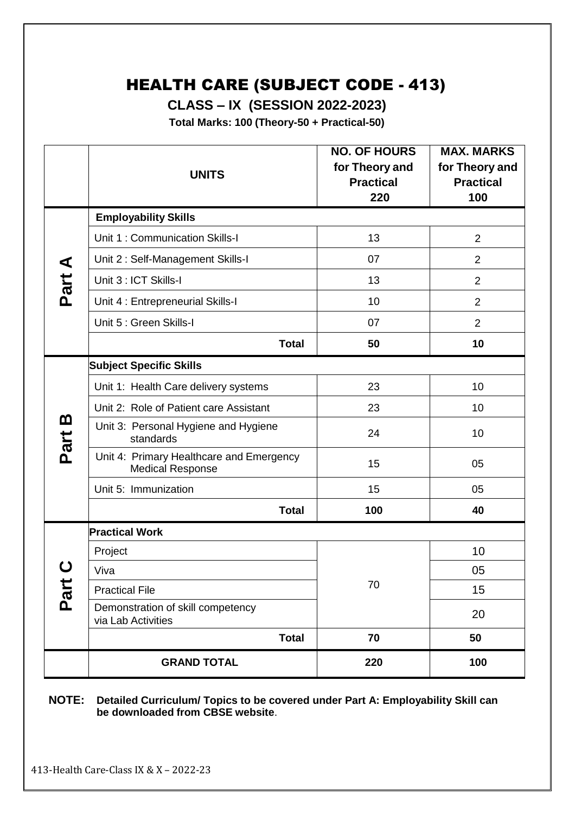# HEALTH CARE (SUBJECT CODE - 413)

**CLASS – IX (SESSION 2022-2023)**

**Total Marks: 100 (Theory-50 + Practical-50)**

|           | <b>UNITS</b>                                                        | <b>NO. OF HOURS</b><br>for Theory and<br><b>Practical</b><br>220 | <b>MAX. MARKS</b><br>for Theory and<br><b>Practical</b><br>100 |  |  |
|-----------|---------------------------------------------------------------------|------------------------------------------------------------------|----------------------------------------------------------------|--|--|
|           | <b>Employability Skills</b>                                         |                                                                  |                                                                |  |  |
|           | Unit 1: Communication Skills-I                                      | 13                                                               | $\overline{2}$                                                 |  |  |
| ⋖         | Unit 2: Self-Management Skills-I                                    | 07                                                               | $\overline{2}$                                                 |  |  |
| Part      | Unit 3 : ICT Skills-I                                               | 13                                                               | $\overline{2}$                                                 |  |  |
|           | Unit 4 : Entrepreneurial Skills-I                                   | 10                                                               | $\overline{2}$                                                 |  |  |
|           | Unit 5 : Green Skills-I                                             | 07                                                               | $\overline{2}$                                                 |  |  |
|           | <b>Total</b>                                                        | 50                                                               | 10                                                             |  |  |
|           | <b>Subject Specific Skills</b>                                      |                                                                  |                                                                |  |  |
|           | Unit 1: Health Care delivery systems                                | 23                                                               | 10                                                             |  |  |
|           | Unit 2: Role of Patient care Assistant                              | 23                                                               | 10                                                             |  |  |
| m<br>Part | Unit 3: Personal Hygiene and Hygiene<br>standards                   | 24                                                               | 10                                                             |  |  |
|           | Unit 4: Primary Healthcare and Emergency<br><b>Medical Response</b> | 15                                                               | 05                                                             |  |  |
|           | Unit 5: Immunization                                                | 15                                                               | 05                                                             |  |  |
|           | <b>Total</b>                                                        | 100                                                              | 40                                                             |  |  |
|           | <b>Practical Work</b>                                               |                                                                  |                                                                |  |  |
|           | Project                                                             |                                                                  | 10                                                             |  |  |
|           | Viva                                                                |                                                                  | 05                                                             |  |  |
| Part      | <b>Practical File</b>                                               | 70                                                               | 15                                                             |  |  |
|           | Demonstration of skill competency<br>via Lab Activities             |                                                                  | 20                                                             |  |  |
|           | <b>Total</b>                                                        | 70                                                               | 50                                                             |  |  |
|           | <b>GRAND TOTAL</b>                                                  | 220                                                              | 100                                                            |  |  |

**NOTE: Detailed Curriculum/ Topics to be covered under Part A: Employability Skill can be downloaded from CBSE website**.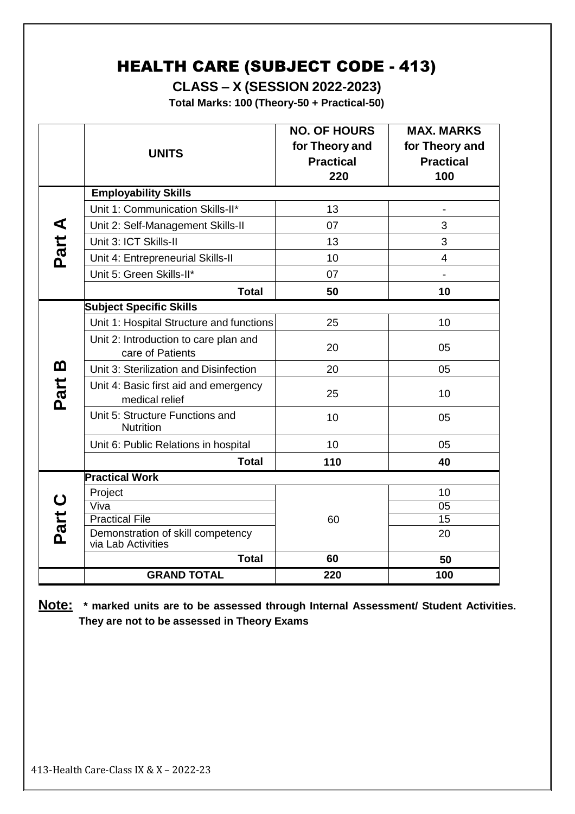# HEALTH CARE (SUBJECT CODE - 413)

**CLASS – X (SESSION 2022-2023)**

**Total Marks: 100 (Theory-50 + Practical-50)**

|          | <b>UNITS</b>                                              | <b>NO. OF HOURS</b><br>for Theory and<br><b>Practical</b><br>220 | <b>MAX. MARKS</b><br>for Theory and<br><b>Practical</b><br>100 |  |
|----------|-----------------------------------------------------------|------------------------------------------------------------------|----------------------------------------------------------------|--|
|          | <b>Employability Skills</b>                               |                                                                  |                                                                |  |
|          | Unit 1: Communication Skills-II*                          | 13                                                               | $\qquad \qquad \blacksquare$                                   |  |
| ◀        | Unit 2: Self-Management Skills-II                         | 07                                                               | 3                                                              |  |
|          | Unit 3: ICT Skills-II                                     | 13                                                               | 3                                                              |  |
| Part.    | Unit 4: Entrepreneurial Skills-II                         | 10                                                               | $\overline{4}$                                                 |  |
|          | Unit 5: Green Skills-II*                                  | 07                                                               |                                                                |  |
|          | <b>Total</b>                                              | 50                                                               | 10                                                             |  |
|          | <b>Subject Specific Skills</b>                            |                                                                  |                                                                |  |
|          | Unit 1: Hospital Structure and functions                  | 25                                                               | 10                                                             |  |
|          | Unit 2: Introduction to care plan and<br>care of Patients | 20                                                               | 05                                                             |  |
| <u>ጠ</u> | Unit 3: Sterilization and Disinfection                    | 20                                                               | 05                                                             |  |
| Part     | Unit 4: Basic first aid and emergency<br>medical relief   | 25                                                               | 10                                                             |  |
|          | Unit 5: Structure Functions and<br><b>Nutrition</b>       | 10                                                               | 05                                                             |  |
|          | Unit 6: Public Relations in hospital                      | 10                                                               | 05                                                             |  |
|          | <b>Total</b>                                              | 110                                                              | 40                                                             |  |
|          | <b>Practical Work</b>                                     |                                                                  |                                                                |  |
|          | Project                                                   |                                                                  | 10                                                             |  |
| Part C   | Viva                                                      |                                                                  | 05                                                             |  |
|          | <b>Practical File</b>                                     | 60                                                               | 15                                                             |  |
|          | Demonstration of skill competency<br>via Lab Activities   |                                                                  | 20                                                             |  |
|          | <b>Total</b>                                              | 60                                                               | 50                                                             |  |
|          | <b>GRAND TOTAL</b>                                        | 220                                                              | 100                                                            |  |

**Note: \* marked units are to be assessed through Internal Assessment/ Student Activities. They are not to be assessed in Theory Exams**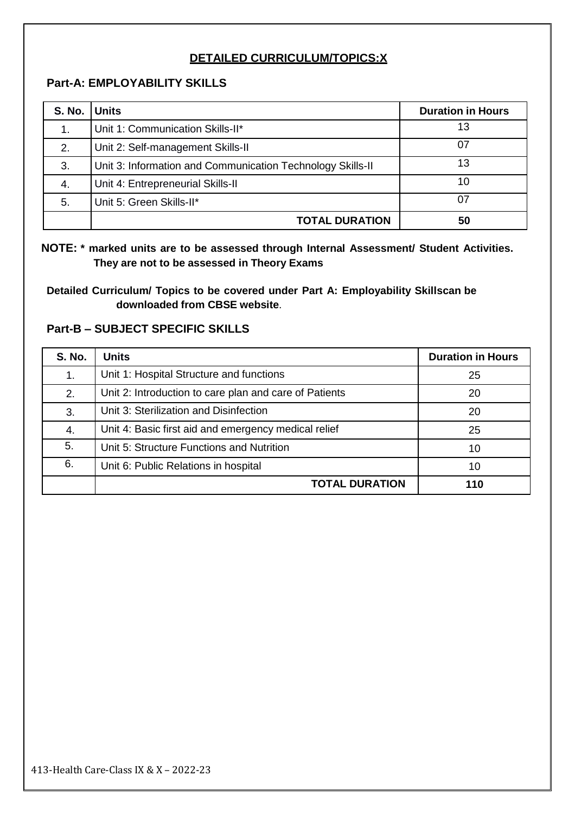# **DETAILED CURRICULUM/TOPICS:X**

## **Part-A: EMPLOYABILITY SKILLS**

| S. No. Units |                                                            | <b>Duration in Hours</b> |
|--------------|------------------------------------------------------------|--------------------------|
| 1.           | Unit 1: Communication Skills-II*                           | 13                       |
| 2.           | Unit 2: Self-management Skills-II                          | 07                       |
| 3.           | Unit 3: Information and Communication Technology Skills-II | 13                       |
| 4.           | Unit 4: Entrepreneurial Skills-II                          | 10                       |
| 5.           | Unit 5: Green Skills-II*                                   | 07                       |
|              | <b>TOTAL DURATION</b>                                      | 50                       |

## **NOTE: \* marked units are to be assessed through Internal Assessment/ Student Activities. They are not to be assessed in Theory Exams**

**Detailed Curriculum/ Topics to be covered under Part A: Employability Skillscan be downloaded from CBSE website**.

# **Part-B – SUBJECT SPECIFIC SKILLS**

| <b>S. No.</b> | <b>Units</b>                                           | <b>Duration in Hours</b> |
|---------------|--------------------------------------------------------|--------------------------|
| 1.            | Unit 1: Hospital Structure and functions               | 25                       |
| 2.            | Unit 2: Introduction to care plan and care of Patients | 20                       |
| 3.            | Unit 3: Sterilization and Disinfection                 | 20                       |
| 4.            | Unit 4: Basic first aid and emergency medical relief   | 25                       |
| 5.            | Unit 5: Structure Functions and Nutrition              | 10                       |
| 6.            | Unit 6: Public Relations in hospital                   | 10                       |
|               | <b>TOTAL DURATION</b>                                  | 110                      |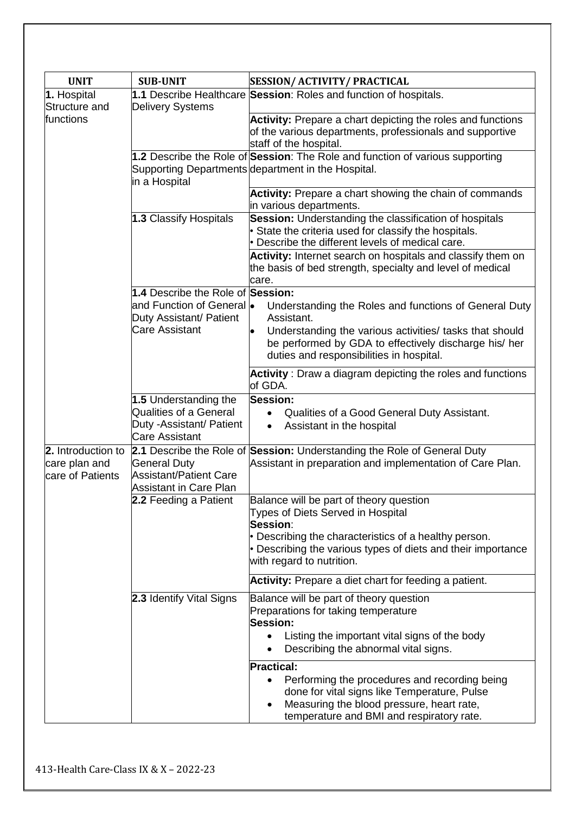| <b>UNIT</b>                                             | <b>SUB-UNIT</b>                                                                                              | <b>SESSION/ ACTIVITY/ PRACTICAL</b>                                                                                                                                                                       |
|---------------------------------------------------------|--------------------------------------------------------------------------------------------------------------|-----------------------------------------------------------------------------------------------------------------------------------------------------------------------------------------------------------|
| 1. Hospital<br>Structure and                            | <b>Delivery Systems</b>                                                                                      | 1.1 Describe Healthcare Session: Roles and function of hospitals.                                                                                                                                         |
| functions                                               |                                                                                                              | Activity: Prepare a chart depicting the roles and functions<br>of the various departments, professionals and supportive<br>staff of the hospital.                                                         |
|                                                         | in a Hospital                                                                                                | 1.2 Describe the Role of Session: The Role and function of various supporting<br>Supporting Departments department in the Hospital.                                                                       |
|                                                         |                                                                                                              | Activity: Prepare a chart showing the chain of commands<br>in various departments.                                                                                                                        |
|                                                         | 1.3 Classify Hospitals                                                                                       | Session: Understanding the classification of hospitals<br>• State the criteria used for classify the hospitals.<br>• Describe the different levels of medical care.                                       |
|                                                         |                                                                                                              | Activity: Internet search on hospitals and classify them on<br>the basis of bed strength, specialty and level of medical<br>care.                                                                         |
|                                                         | 1.4 Describe the Role of Session:<br>and Function of General lo<br>Duty Assistant/ Patient                   | Understanding the Roles and functions of General Duty<br>Assistant.                                                                                                                                       |
|                                                         | Care Assistant                                                                                               | Understanding the various activities/ tasks that should<br>be performed by GDA to effectively discharge his/ her<br>duties and responsibilities in hospital.                                              |
|                                                         |                                                                                                              | Activity: Draw a diagram depicting the roles and functions<br>of GDA.                                                                                                                                     |
|                                                         | 1.5 Understanding the<br><b>Qualities of a General</b><br>Duty - Assistant/ Patient<br><b>Care Assistant</b> | <b>Session:</b><br>Qualities of a Good General Duty Assistant.<br>$\bullet$<br>Assistant in the hospital<br>$\bullet$                                                                                     |
| 2. Introduction to<br>care plan and<br>care of Patients | <b>General Duty</b><br><b>Assistant/Patient Care</b><br><b>Assistant in Care Plan</b>                        | 2.1 Describe the Role of Session: Understanding the Role of General Duty<br>Assistant in preparation and implementation of Care Plan.                                                                     |
|                                                         | 2.2 Feeding a Patient                                                                                        | Balance will be part of theory question<br>Types of Diets Served in Hospital<br>Session:                                                                                                                  |
|                                                         |                                                                                                              | • Describing the characteristics of a healthy person.<br>• Describing the various types of diets and their importance<br>with regard to nutrition.                                                        |
|                                                         |                                                                                                              | Activity: Prepare a diet chart for feeding a patient.                                                                                                                                                     |
|                                                         | 2.3 Identify Vital Signs                                                                                     | Balance will be part of theory question<br>Preparations for taking temperature<br>Session:                                                                                                                |
|                                                         |                                                                                                              | Listing the important vital signs of the body<br>$\bullet$<br>Describing the abnormal vital signs.                                                                                                        |
|                                                         |                                                                                                              | <b>Practical:</b>                                                                                                                                                                                         |
|                                                         |                                                                                                              | Performing the procedures and recording being<br>$\bullet$<br>done for vital signs like Temperature, Pulse<br>Measuring the blood pressure, heart rate,<br>٠<br>temperature and BMI and respiratory rate. |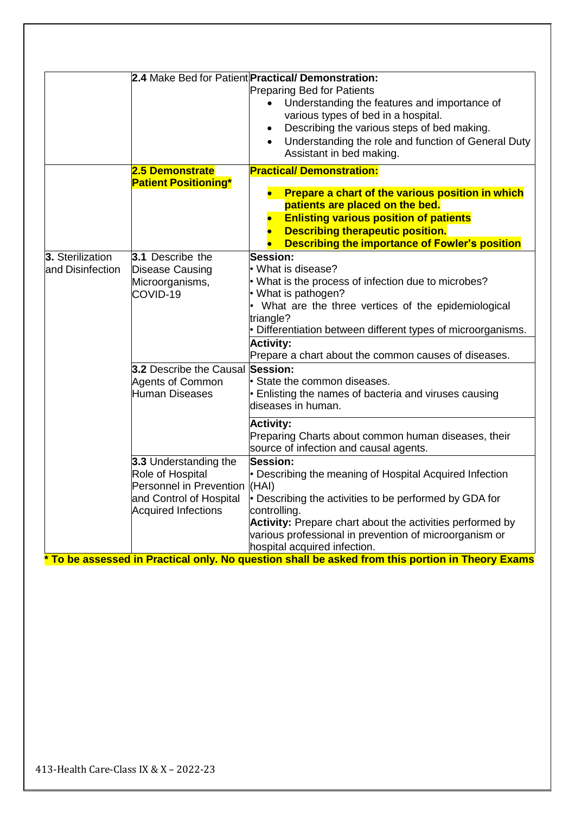|                                      | 2.5 Demonstrate                                                                                                                     | 2.4 Make Bed for Patient Practical/ Demonstration:<br><b>Preparing Bed for Patients</b><br>Understanding the features and importance of<br>various types of bed in a hospital.<br>Describing the various steps of bed making.<br>$\bullet$<br>Understanding the role and function of General Duty<br>Assistant in bed making.<br><b>Practical/Demonstration:</b>                                                                                          |
|--------------------------------------|-------------------------------------------------------------------------------------------------------------------------------------|-----------------------------------------------------------------------------------------------------------------------------------------------------------------------------------------------------------------------------------------------------------------------------------------------------------------------------------------------------------------------------------------------------------------------------------------------------------|
|                                      | <b>Patient Positioning*</b>                                                                                                         | Prepare a chart of the various position in which<br>patients are placed on the bed.<br><b>Enlisting various position of patients</b><br><b>Describing therapeutic position.</b><br><b>Describing the importance of Fowler's position</b>                                                                                                                                                                                                                  |
| 3. Sterilization<br>and Disinfection | 3.1 Describe the<br>Disease Causing<br>Microorganisms,<br>COVID-19                                                                  | Session:<br>• What is disease?<br>• What is the process of infection due to microbes?<br>• What is pathogen?<br>What are the three vertices of the epidemiological<br>triangle?<br>• Differentiation between different types of microorganisms.<br><b>Activity:</b><br>Prepare a chart about the common causes of diseases.                                                                                                                               |
|                                      | 3.2 Describe the Causal Session:<br><b>Agents of Common</b><br><b>Human Diseases</b>                                                | State the common diseases.<br>• Enlisting the names of bacteria and viruses causing<br>diseases in human.<br><b>Activity:</b><br>Preparing Charts about common human diseases, their                                                                                                                                                                                                                                                                      |
|                                      | 3.3 Understanding the<br>Role of Hospital<br>Personnel in Prevention (HAI)<br>and Control of Hospital<br><b>Acquired Infections</b> | source of infection and causal agents.<br><b>Session:</b><br>• Describing the meaning of Hospital Acquired Infection<br>• Describing the activities to be performed by GDA for<br>controlling.<br>Activity: Prepare chart about the activities performed by<br>various professional in prevention of microorganism or<br>hospital acquired infection.<br>* To be assessed in Practical only. No question shall be asked from this portion in Theory Exams |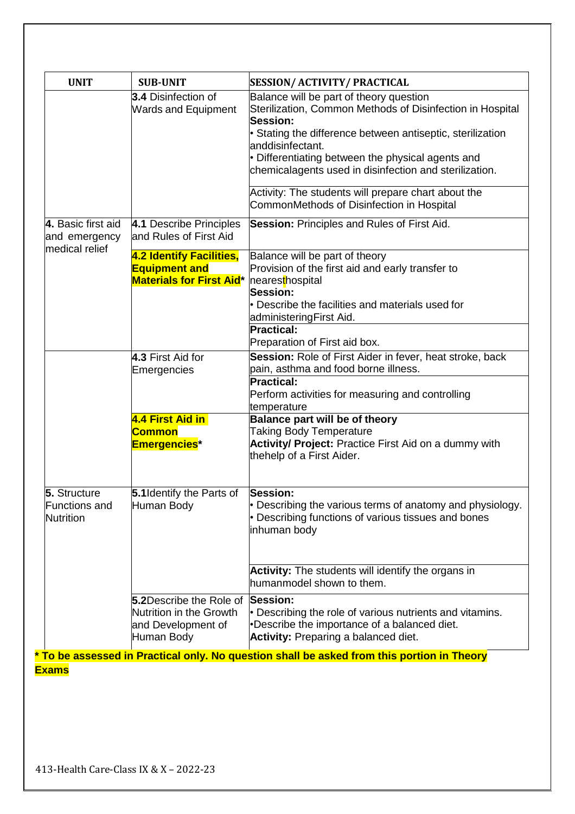| <b>UNIT</b>                                              | <b>SUB-UNIT</b>                                                                        | <b>SESSION/ ACTIVITY/ PRACTICAL</b>                                                                                                                                        |
|----------------------------------------------------------|----------------------------------------------------------------------------------------|----------------------------------------------------------------------------------------------------------------------------------------------------------------------------|
|                                                          | 3.4 Disinfection of<br><b>Wards and Equipment</b>                                      | Balance will be part of theory question<br>Sterilization, Common Methods of Disinfection in Hospital<br><b>Session:</b>                                                    |
|                                                          |                                                                                        | · Stating the difference between antiseptic, sterilization<br>anddisinfectant.                                                                                             |
|                                                          |                                                                                        | • Differentiating between the physical agents and<br>chemicalagents used in disinfection and sterilization.                                                                |
|                                                          |                                                                                        | Activity: The students will prepare chart about the<br>CommonMethods of Disinfection in Hospital                                                                           |
| 4. Basic first aid<br>and emergency                      | 4.1 Describe Principles<br>and Rules of First Aid                                      | <b>Session: Principles and Rules of First Aid.</b>                                                                                                                         |
| medical relief                                           | 4.2 Identify Facilities,<br><b>Equipment and</b><br><b>Materials for First Aid*</b>    | Balance will be part of theory<br>Provision of the first aid and early transfer to<br>nearesthospital<br>Session:                                                          |
|                                                          |                                                                                        | • Describe the facilities and materials used for<br>administeringFirst Aid.<br><b>Practical:</b><br>Preparation of First aid box.                                          |
|                                                          | 4.3 First Aid for<br>Emergencies                                                       | Session: Role of First Aider in fever, heat stroke, back<br>pain, asthma and food borne illness.                                                                           |
|                                                          |                                                                                        | <b>Practical:</b><br>Perform activities for measuring and controlling<br>temperature                                                                                       |
|                                                          | 4.4 First Aid in<br>Common<br>Emergencies <sup>*</sup>                                 | <b>Balance part will be of theory</b><br><b>Taking Body Temperature</b><br>Activity/ Project: Practice First Aid on a dummy with<br>thehelp of a First Aider.              |
| 5. Structure<br><b>Functions and</b><br><b>Nutrition</b> | 5.1 Identify the Parts of<br>Human Body                                                | Session:<br>• Describing the various terms of anatomy and physiology.<br>• Describing functions of various tissues and bones<br>inhuman body                               |
|                                                          |                                                                                        | Activity: The students will identify the organs in<br>humanmodel shown to them.                                                                                            |
|                                                          | 5.2Describe the Role of<br>Nutrition in the Growth<br>and Development of<br>Human Body | <b>Session:</b><br>• Describing the role of various nutrients and vitamins.<br>•Describe the importance of a balanced diet.<br><b>Activity: Preparing a balanced diet.</b> |
|                                                          |                                                                                        | * To be assessed in Practical only. No question shall be asked from this portion in Theory                                                                                 |

**Exams**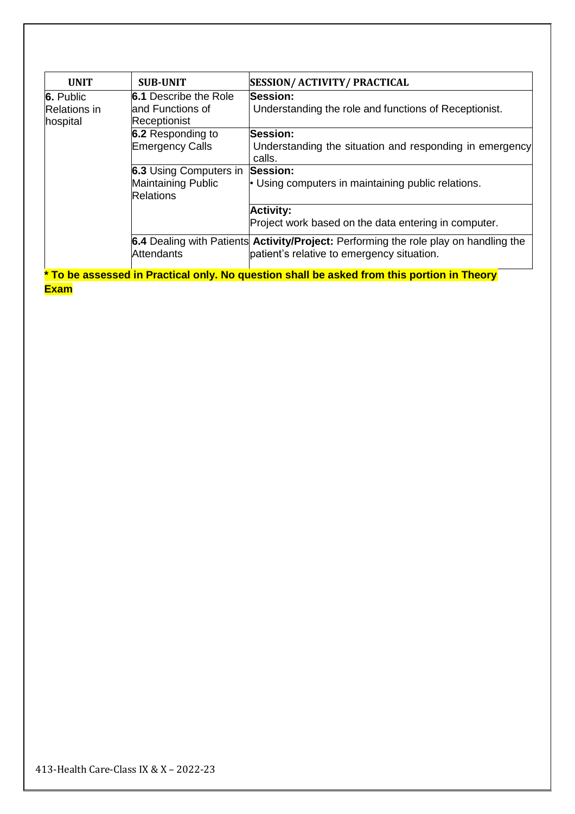| <b>UNIT</b>         | <b>SUB-UNIT</b>               | <b>SESSION/ ACTIVITY/ PRACTICAL</b>                                                         |
|---------------------|-------------------------------|---------------------------------------------------------------------------------------------|
| 6. Public           | <b>6.1</b> Describe the Role  | <b>Session:</b>                                                                             |
| <b>Relations</b> in | land Functions of             | Understanding the role and functions of Receptionist.                                       |
| hospital            | Receptionist                  |                                                                                             |
|                     | 6.2 Responding to             | <b>Session:</b>                                                                             |
|                     | <b>Emergency Calls</b>        | Understanding the situation and responding in emergency<br>calls.                           |
|                     | <b>6.3 Using Computers in</b> | Session:                                                                                    |
|                     | Maintaining Public            | • Using computers in maintaining public relations.                                          |
|                     | <b>Relations</b>              |                                                                                             |
|                     |                               | <b>Activity:</b>                                                                            |
|                     |                               | Project work based on the data entering in computer.                                        |
|                     |                               | 6.4 Dealing with Patients <b>Activity/Project:</b> Performing the role play on handling the |
|                     | Attendants                    | patient's relative to emergency situation.                                                  |
|                     |                               | * To be assessed in Practical only. No question shall be asked from this portion in Theory  |
| <b>Exam</b>         |                               |                                                                                             |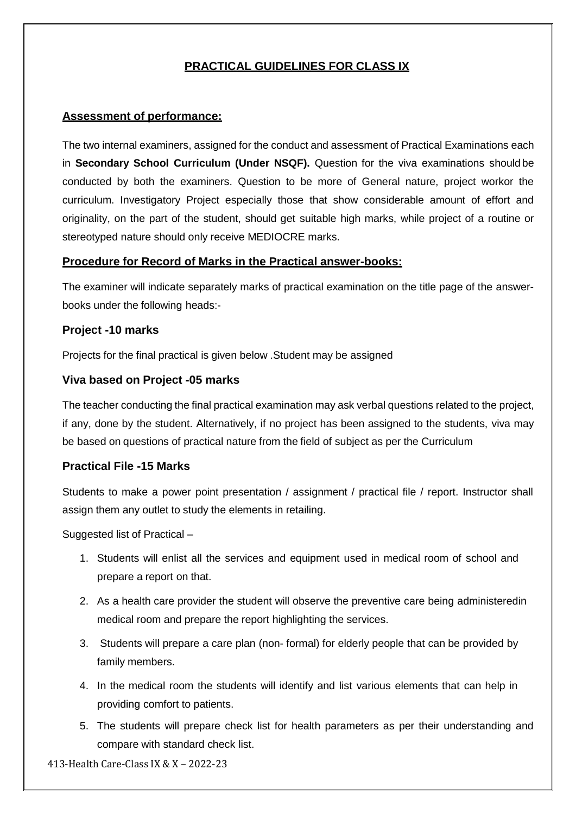## **PRACTICAL GUIDELINES FOR CLASS IX**

#### **Assessment of performance:**

The two internal examiners, assigned for the conduct and assessment of Practical Examinations each in **Secondary School Curriculum (Under NSQF).** Question for the viva examinations should be conducted by both the examiners. Question to be more of General nature, project workor the curriculum. Investigatory Project especially those that show considerable amount of effort and originality, on the part of the student, should get suitable high marks, while project of a routine or stereotyped nature should only receive MEDIOCRE marks.

#### **Procedure for Record of Marks in the Practical answer-books:**

The examiner will indicate separately marks of practical examination on the title page of the answerbooks under the following heads:-

#### **Project -10 marks**

Projects for the final practical is given below .Student may be assigned

#### **Viva based on Project -05 marks**

The teacher conducting the final practical examination may ask verbal questions related to the project, if any, done by the student. Alternatively, if no project has been assigned to the students, viva may be based on questions of practical nature from the field of subject as per the Curriculum

#### **Practical File -15 Marks**

Students to make a power point presentation / assignment / practical file / report. Instructor shall assign them any outlet to study the elements in retailing.

Suggested list of Practical –

- 1. Students will enlist all the services and equipment used in medical room of school and prepare a report on that.
- 2. As a health care provider the student will observe the preventive care being administeredin medical room and prepare the report highlighting the services.
- 3. Students will prepare a care plan (non- formal) for elderly people that can be provided by family members.
- 4. In the medical room the students will identify and list various elements that can help in providing comfort to patients.
- 5. The students will prepare check list for health parameters as per their understanding and compare with standard check list.

413-Health Care-Class IX & X – 2022-23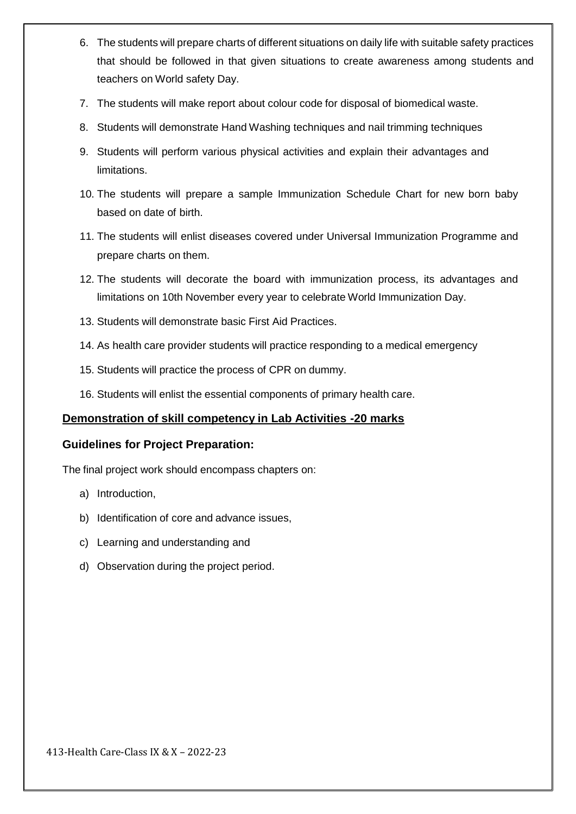- 6. The students will prepare charts of different situations on daily life with suitable safety practices that should be followed in that given situations to create awareness among students and teachers on World safety Day.
- 7. The students will make report about colour code for disposal of biomedical waste.
- 8. Students will demonstrate Hand Washing techniques and nail trimming techniques
- 9. Students will perform various physical activities and explain their advantages and limitations.
- 10. The students will prepare a sample Immunization Schedule Chart for new born baby based on date of birth.
- 11. The students will enlist diseases covered under Universal Immunization Programme and prepare charts on them.
- 12. The students will decorate the board with immunization process, its advantages and limitations on 10th November every year to celebrate World Immunization Day.
- 13. Students will demonstrate basic First Aid Practices.
- 14. As health care provider students will practice responding to a medical emergency
- 15. Students will practice the process of CPR on dummy.
- 16. Students will enlist the essential components of primary health care.

#### **Demonstration of skill competency in Lab Activities -20 marks**

#### **Guidelines for Project Preparation:**

The final project work should encompass chapters on:

- a) Introduction,
- b) Identification of core and advance issues,
- c) Learning and understanding and
- d) Observation during the project period.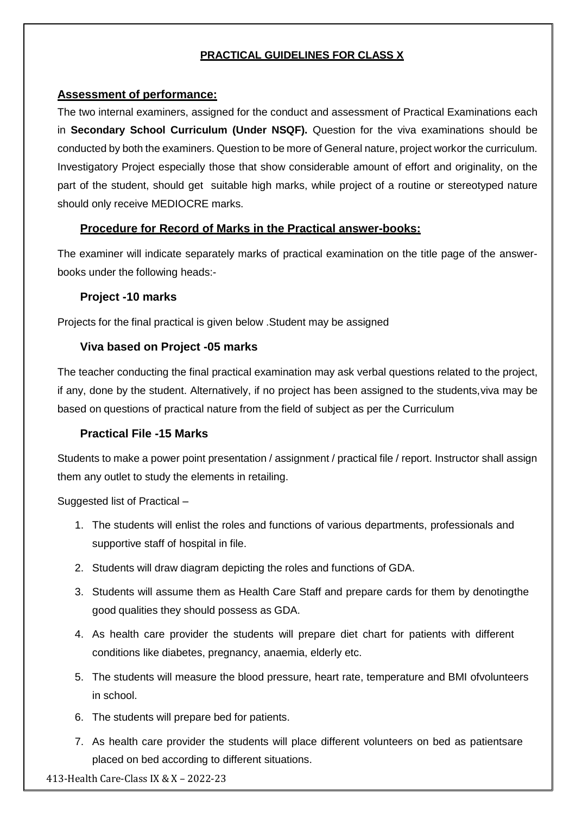## **PRACTICAL GUIDELINES FOR CLASS X**

#### **Assessment of performance:**

The two internal examiners, assigned for the conduct and assessment of Practical Examinations each in **Secondary School Curriculum (Under NSQF).** Question for the viva examinations should be conducted by both the examiners. Question to be more of General nature, project workor the curriculum. Investigatory Project especially those that show considerable amount of effort and originality, on the part of the student, should get suitable high marks, while project of a routine or stereotyped nature should only receive MEDIOCRE marks.

#### **Procedure for Record of Marks in the Practical answer-books:**

The examiner will indicate separately marks of practical examination on the title page of the answerbooks under the following heads:-

#### **Project -10 marks**

Projects for the final practical is given below .Student may be assigned

#### **Viva based on Project -05 marks**

The teacher conducting the final practical examination may ask verbal questions related to the project, if any, done by the student. Alternatively, if no project has been assigned to the students,viva may be based on questions of practical nature from the field of subject as per the Curriculum

#### **Practical File -15 Marks**

Students to make a power point presentation / assignment / practical file / report. Instructor shall assign them any outlet to study the elements in retailing.

Suggested list of Practical –

- 1. The students will enlist the roles and functions of various departments, professionals and supportive staff of hospital in file.
- 2. Students will draw diagram depicting the roles and functions of GDA.
- 3. Students will assume them as Health Care Staff and prepare cards for them by denotingthe good qualities they should possess as GDA.
- 4. As health care provider the students will prepare diet chart for patients with different conditions like diabetes, pregnancy, anaemia, elderly etc.
- 5. The students will measure the blood pressure, heart rate, temperature and BMI ofvolunteers in school.
- 6. The students will prepare bed for patients.
- 7. As health care provider the students will place different volunteers on bed as patientsare placed on bed according to different situations.

413-Health Care-Class IX & X – 2022-23